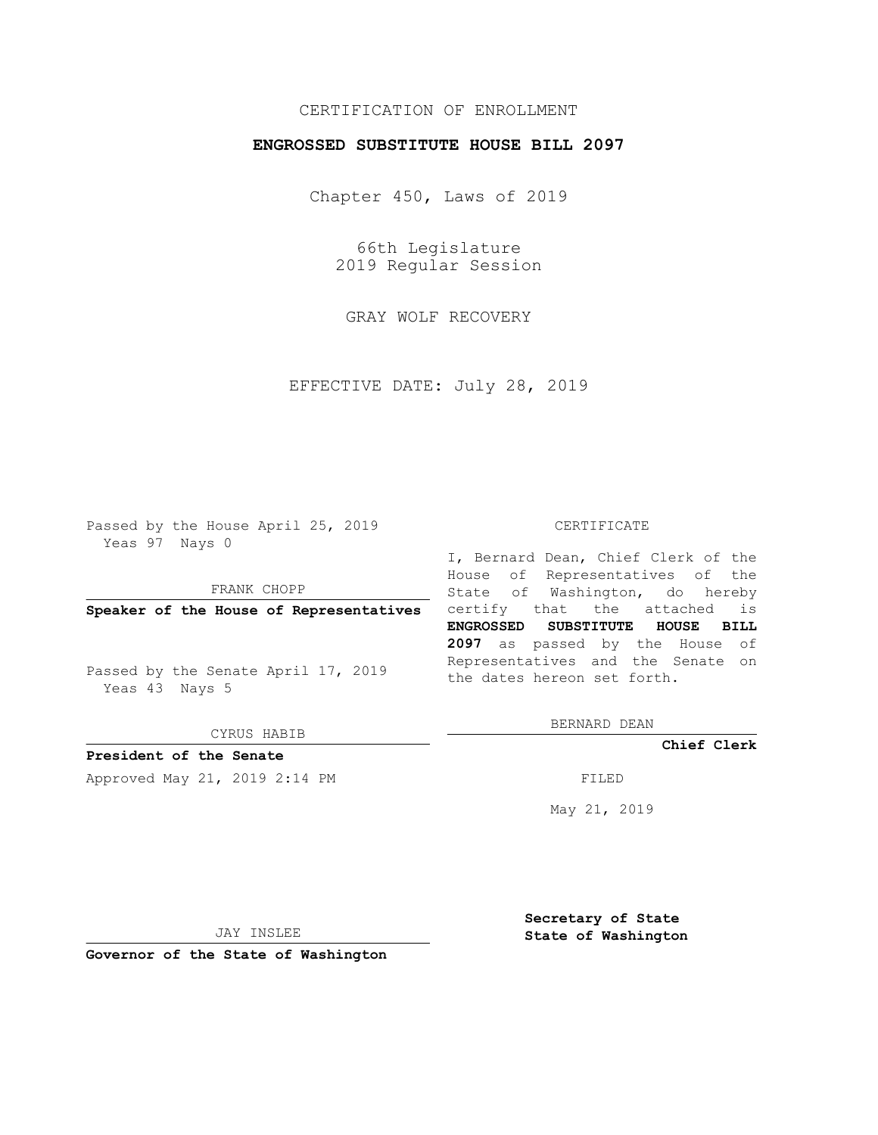## CERTIFICATION OF ENROLLMENT

## **ENGROSSED SUBSTITUTE HOUSE BILL 2097**

Chapter 450, Laws of 2019

66th Legislature 2019 Regular Session

GRAY WOLF RECOVERY

EFFECTIVE DATE: July 28, 2019

Passed by the House April 25, 2019 Yeas 97 Nays 0

FRANK CHOPP

Passed by the Senate April 17, 2019 Yeas 43 Nays 5

CYRUS HABIB

**President of the Senate**

Approved May 21, 2019 2:14 PM

#### CERTIFICATE

**Speaker of the House of Representatives** certify that the attached is I, Bernard Dean, Chief Clerk of the House of Representatives of the State of Washington, do hereby **ENGROSSED SUBSTITUTE HOUSE BILL 2097** as passed by the House of Representatives and the Senate on the dates hereon set forth.

BERNARD DEAN

**Chief Clerk**

May 21, 2019

JAY INSLEE

**Governor of the State of Washington**

**Secretary of State State of Washington**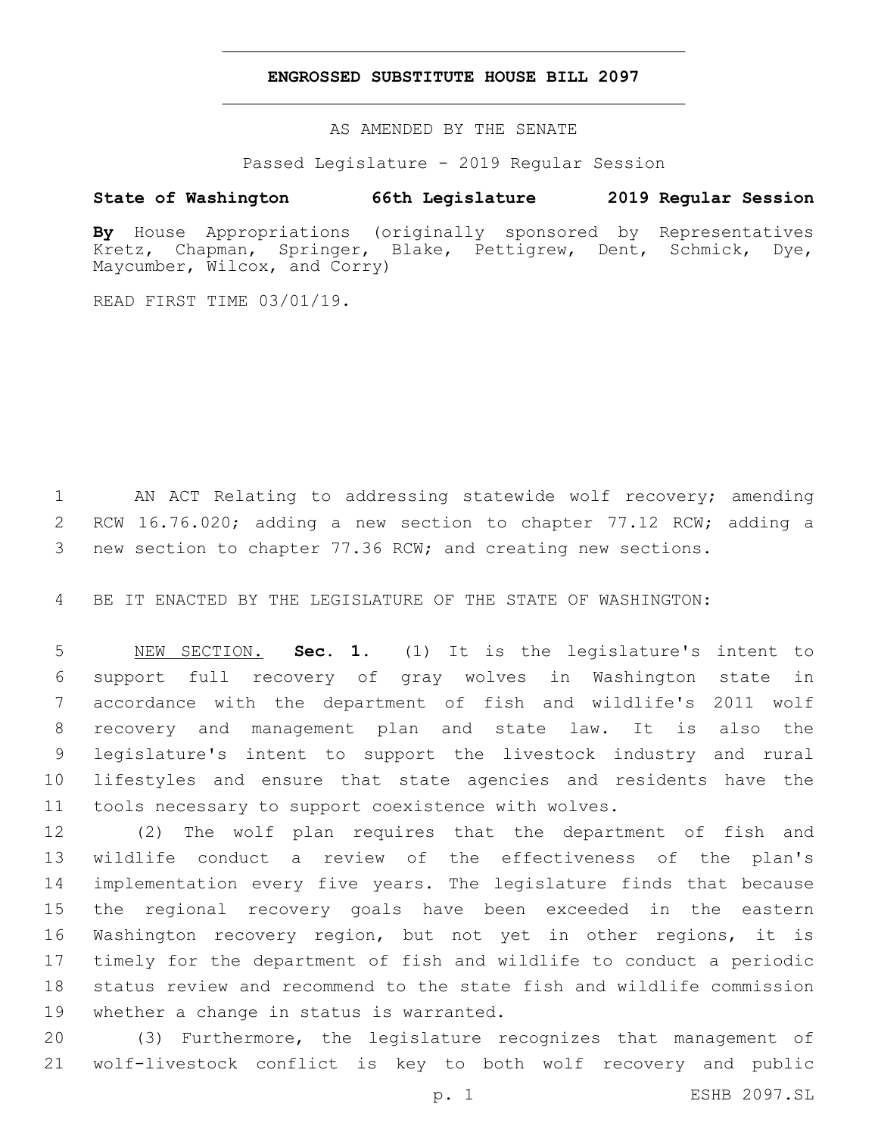### **ENGROSSED SUBSTITUTE HOUSE BILL 2097**

AS AMENDED BY THE SENATE

Passed Legislature - 2019 Regular Session

# **State of Washington 66th Legislature 2019 Regular Session**

**By** House Appropriations (originally sponsored by Representatives Kretz, Chapman, Springer, Blake, Pettigrew, Dent, Schmick, Dye, Maycumber, Wilcox, and Corry)

READ FIRST TIME 03/01/19.

 AN ACT Relating to addressing statewide wolf recovery; amending 2 RCW 16.76.020; adding a new section to chapter 77.12 RCW; adding a new section to chapter 77.36 RCW; and creating new sections.

BE IT ENACTED BY THE LEGISLATURE OF THE STATE OF WASHINGTON:

 NEW SECTION. **Sec. 1.** (1) It is the legislature's intent to support full recovery of gray wolves in Washington state in accordance with the department of fish and wildlife's 2011 wolf recovery and management plan and state law. It is also the legislature's intent to support the livestock industry and rural lifestyles and ensure that state agencies and residents have the tools necessary to support coexistence with wolves.

 (2) The wolf plan requires that the department of fish and wildlife conduct a review of the effectiveness of the plan's implementation every five years. The legislature finds that because the regional recovery goals have been exceeded in the eastern Washington recovery region, but not yet in other regions, it is timely for the department of fish and wildlife to conduct a periodic status review and recommend to the state fish and wildlife commission 19 whether a change in status is warranted.

 (3) Furthermore, the legislature recognizes that management of wolf-livestock conflict is key to both wolf recovery and public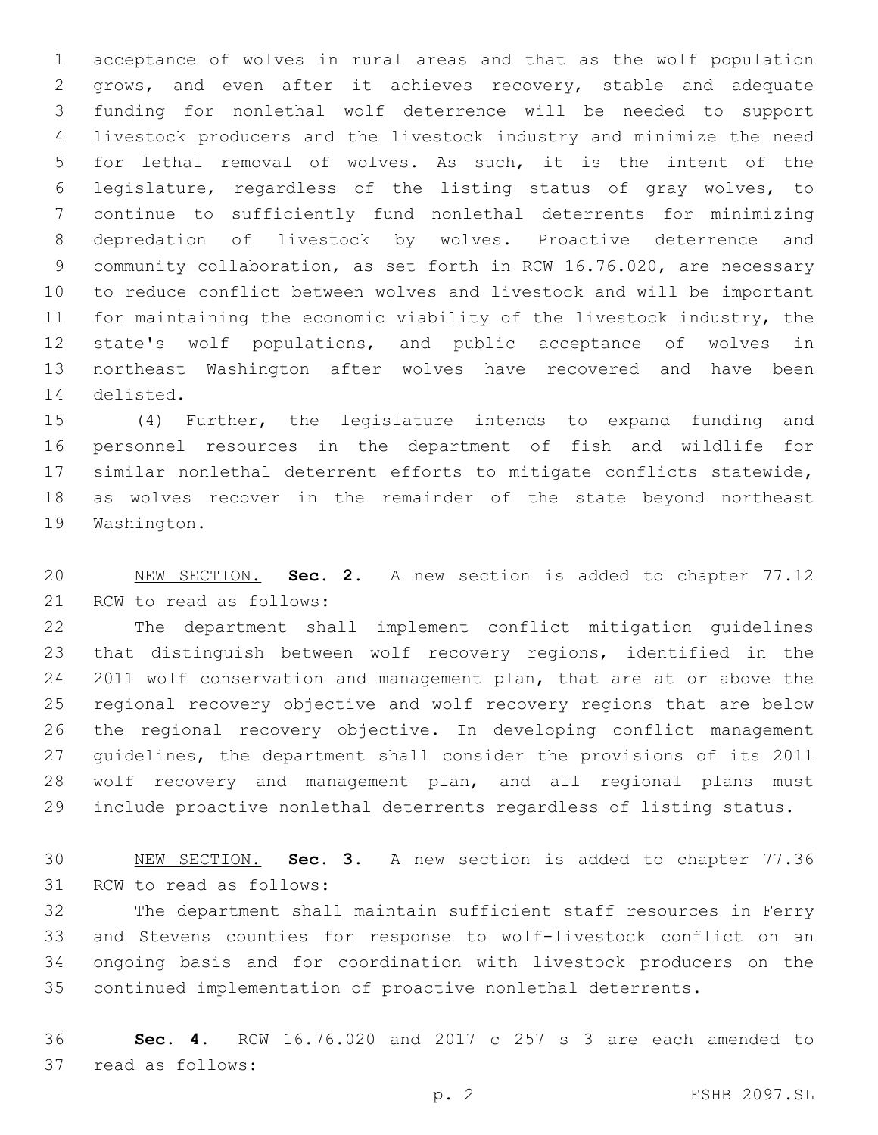acceptance of wolves in rural areas and that as the wolf population grows, and even after it achieves recovery, stable and adequate funding for nonlethal wolf deterrence will be needed to support livestock producers and the livestock industry and minimize the need for lethal removal of wolves. As such, it is the intent of the legislature, regardless of the listing status of gray wolves, to continue to sufficiently fund nonlethal deterrents for minimizing depredation of livestock by wolves. Proactive deterrence and community collaboration, as set forth in RCW 16.76.020, are necessary to reduce conflict between wolves and livestock and will be important for maintaining the economic viability of the livestock industry, the state's wolf populations, and public acceptance of wolves in northeast Washington after wolves have recovered and have been 14 delisted.

 (4) Further, the legislature intends to expand funding and personnel resources in the department of fish and wildlife for similar nonlethal deterrent efforts to mitigate conflicts statewide, as wolves recover in the remainder of the state beyond northeast 19 Washington.

 NEW SECTION. **Sec. 2.** A new section is added to chapter 77.12 21 RCW to read as follows:

 The department shall implement conflict mitigation guidelines that distinguish between wolf recovery regions, identified in the 2011 wolf conservation and management plan, that are at or above the regional recovery objective and wolf recovery regions that are below the regional recovery objective. In developing conflict management guidelines, the department shall consider the provisions of its 2011 wolf recovery and management plan, and all regional plans must include proactive nonlethal deterrents regardless of listing status.

 NEW SECTION. **Sec. 3.** A new section is added to chapter 77.36 31 RCW to read as follows:

 The department shall maintain sufficient staff resources in Ferry and Stevens counties for response to wolf-livestock conflict on an ongoing basis and for coordination with livestock producers on the continued implementation of proactive nonlethal deterrents.

 **Sec. 4.** RCW 16.76.020 and 2017 c 257 s 3 are each amended to 37 read as follows: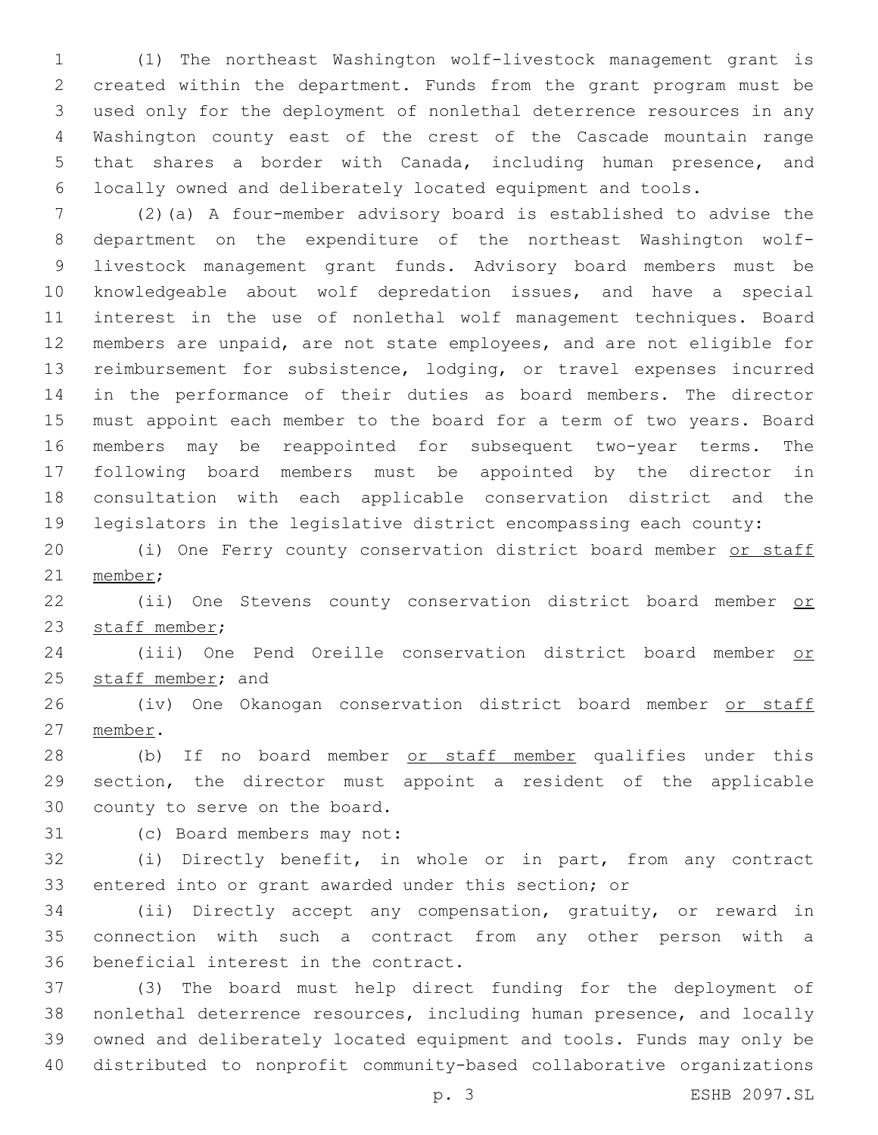(1) The northeast Washington wolf-livestock management grant is created within the department. Funds from the grant program must be used only for the deployment of nonlethal deterrence resources in any Washington county east of the crest of the Cascade mountain range that shares a border with Canada, including human presence, and locally owned and deliberately located equipment and tools.

 (2)(a) A four-member advisory board is established to advise the department on the expenditure of the northeast Washington wolf- livestock management grant funds. Advisory board members must be knowledgeable about wolf depredation issues, and have a special interest in the use of nonlethal wolf management techniques. Board members are unpaid, are not state employees, and are not eligible for reimbursement for subsistence, lodging, or travel expenses incurred in the performance of their duties as board members. The director must appoint each member to the board for a term of two years. Board members may be reappointed for subsequent two-year terms. The following board members must be appointed by the director in consultation with each applicable conservation district and the legislators in the legislative district encompassing each county:

20 (i) One Ferry county conservation district board member or staff 21 member;

22 (ii) One Stevens county conservation district board member or 23 staff member;

 (iii) One Pend Oreille conservation district board member or 25 staff member; and

26 (iv) One Okanogan conservation district board member or staff 27 member.

28 (b) If no board member or staff member qualifies under this section, the director must appoint a resident of the applicable 30 county to serve on the board.

31 (c) Board members may not:

 (i) Directly benefit, in whole or in part, from any contract entered into or grant awarded under this section; or

 (ii) Directly accept any compensation, gratuity, or reward in connection with such a contract from any other person with a 36 beneficial interest in the contract.

 (3) The board must help direct funding for the deployment of nonlethal deterrence resources, including human presence, and locally owned and deliberately located equipment and tools. Funds may only be distributed to nonprofit community-based collaborative organizations

p. 3 ESHB 2097.SL